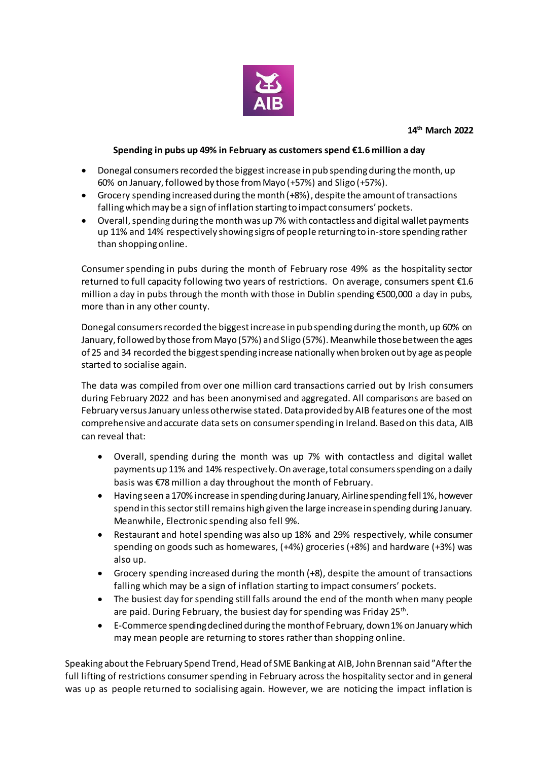

## **Spending in pubs up 49% in February as customers spend €1.6 million a day**

- Donegal consumers recorded the biggest increase in pub spending during the month, up 60% on January, followed by those from Mayo (+57%) and Sligo (+57%).
- Grocery spending increased during the month (+8%), despite the amount of transactions falling which may be a sign of inflation starting to impact consumers' pockets.
- Overall, spending during the month was up 7% with contactless and digital wallet payments up 11% and 14% respectively showing signs of people returning to in-store spending rather than shopping online.

Consumer spending in pubs during the month of February rose 49% as the hospitality sector returned to full capacity following two years of restrictions. On average, consumers spent €1.6 million a day in pubs through the month with those in Dublin spending €500,000 a day in pubs, more than in any other county.

Donegal consumers recorded the biggest increase in pub spending during the month, up 60% on January, followed by those from Mayo (57%) and Sligo (57%). Meanwhile those between the ages of 25 and 34 recorded the biggest spending increase nationally when broken out by age as people started to socialise again.

The data was compiled from over one million card transactions carried out by Irish consumers during February 2022 and has been anonymised and aggregated. All comparisons are based on February versus January unless otherwise stated. Data provided by AIB features one of the most comprehensive and accurate data sets on consumer spending in Ireland. Based on this data, AIB can reveal that:

- Overall, spending during the month was up 7% with contactless and digital wallet payments up 11% and 14% respectively. On average, total consumers spending on a daily basis was €78 million a day throughout the month of February.
- Having seen a 170% increase in spending during January, Airline spending fell 1%, however spend in this sector still remains high given the large increase in spending during January. Meanwhile, Electronic spending also fell 9%.
- Restaurant and hotel spending was also up 18% and 29% respectively, while consumer spending on goods such as homewares, (+4%) groceries (+8%) and hardware (+3%) was also up.
- Grocery spending increased during the month (+8), despite the amount of transactions falling which may be a sign of inflation starting to impact consumers' pockets.
- The busiest day for spending still falls around the end of the month when many people are paid. During February, the busiest day for spending was Friday 25<sup>th</sup>.
- E-Commerce spendingdeclined during the month of February, down 1% on January which may mean people are returning to stores rather than shopping online.

Speaking about the February Spend Trend, Head of SME Banking at AIB, John Brennan said "After the full lifting of restrictions consumer spending in February across the hospitality sector and in general was up as people returned to socialising again. However, we are noticing the impact inflation is